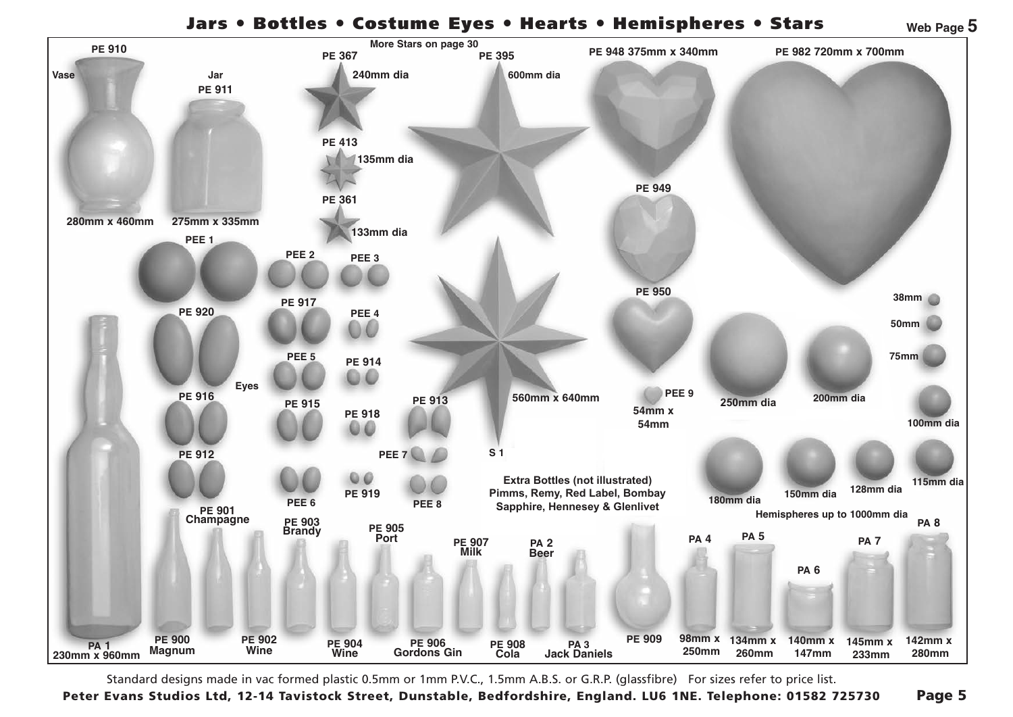## Jars ● Bottles ● Costume Eyes ● Hearts ● Hemispheres ● Stars **PE 413 PE 413**



Standard designs made in vac formed plastic 0.5mm or 1mm P.V.C., 1.5mm A.B.S. or G.R.P. (glassfibre) For sizes refer to price list.

Peter Evans Studios Ltd, 12-14 Tavistock Street, Dunstable, Bedfordshire, England. LU6 1NE. Telephone: 01582 725730 Page 5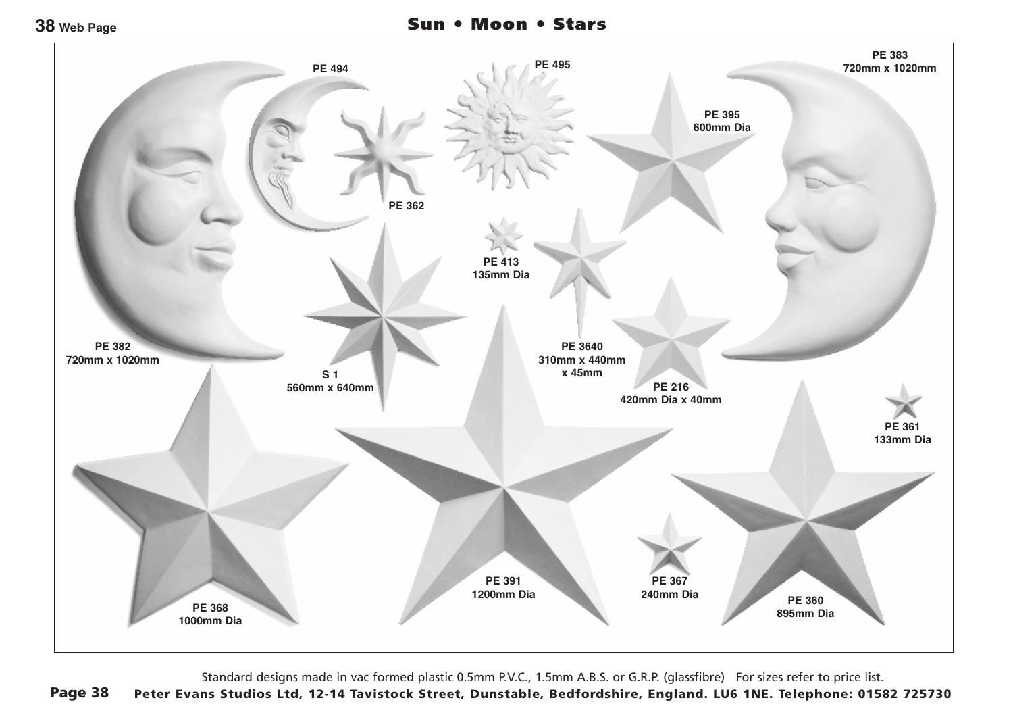

Standard designs made in vac formed plastic 0.5mm P.V.C., 1.5mm A.B.S. or G.R.P. (glassfibre) For sizes refer to price list.